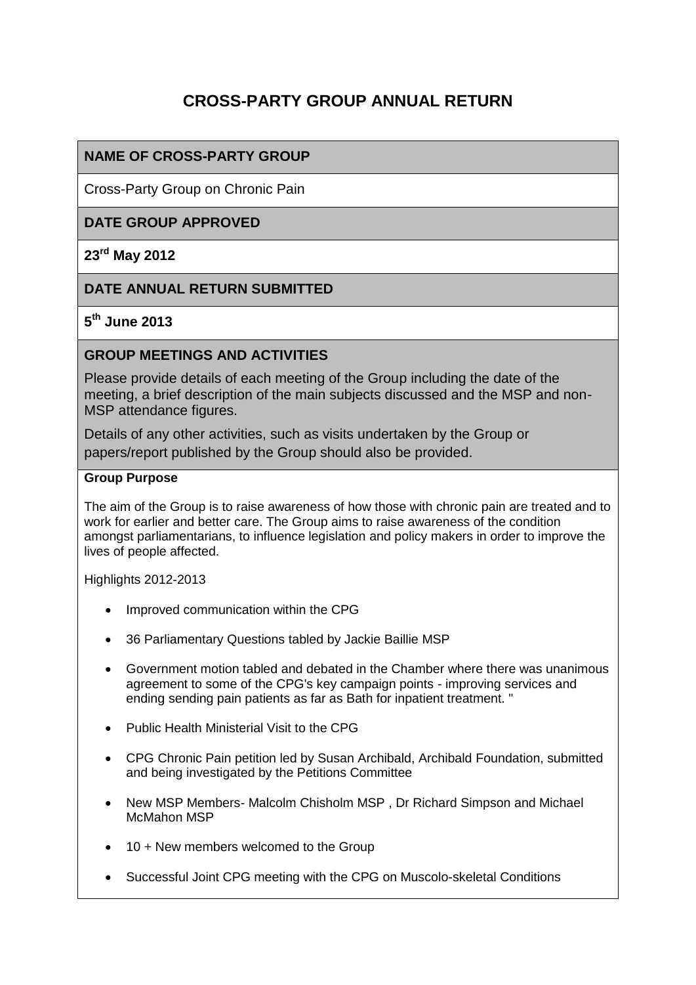# **CROSS-PARTY GROUP ANNUAL RETURN**

## **NAME OF CROSS-PARTY GROUP**

Cross-Party Group on Chronic Pain

## **DATE GROUP APPROVED**

#### **23rd May 2012**

### **DATE ANNUAL RETURN SUBMITTED**

## **5 th June 2013**

#### **GROUP MEETINGS AND ACTIVITIES**

Please provide details of each meeting of the Group including the date of the meeting, a brief description of the main subjects discussed and the MSP and non-MSP attendance figures.

Details of any other activities, such as visits undertaken by the Group or papers/report published by the Group should also be provided.

#### **Group Purpose**

The aim of the Group is to raise awareness of how those with chronic pain are treated and to work for earlier and better care. The Group aims to raise awareness of the condition amongst parliamentarians, to influence legislation and policy makers in order to improve the lives of people affected.

Highlights 2012-2013

- Improved communication within the CPG
- 36 Parliamentary Questions tabled by Jackie Baillie MSP
- Government motion tabled and debated in the Chamber where there was unanimous agreement to some of the CPG's key campaign points - improving services and ending sending pain patients as far as Bath for inpatient treatment. "
- Public Health Ministerial Visit to the CPG
- CPG Chronic Pain petition led by Susan Archibald, Archibald Foundation, submitted and being investigated by the Petitions Committee
- New MSP Members- Malcolm Chisholm MSP, Dr Richard Simpson and Michael McMahon MSP
- 10 + New members welcomed to the Group
- Successful Joint CPG meeting with the CPG on Muscolo-skeletal Conditions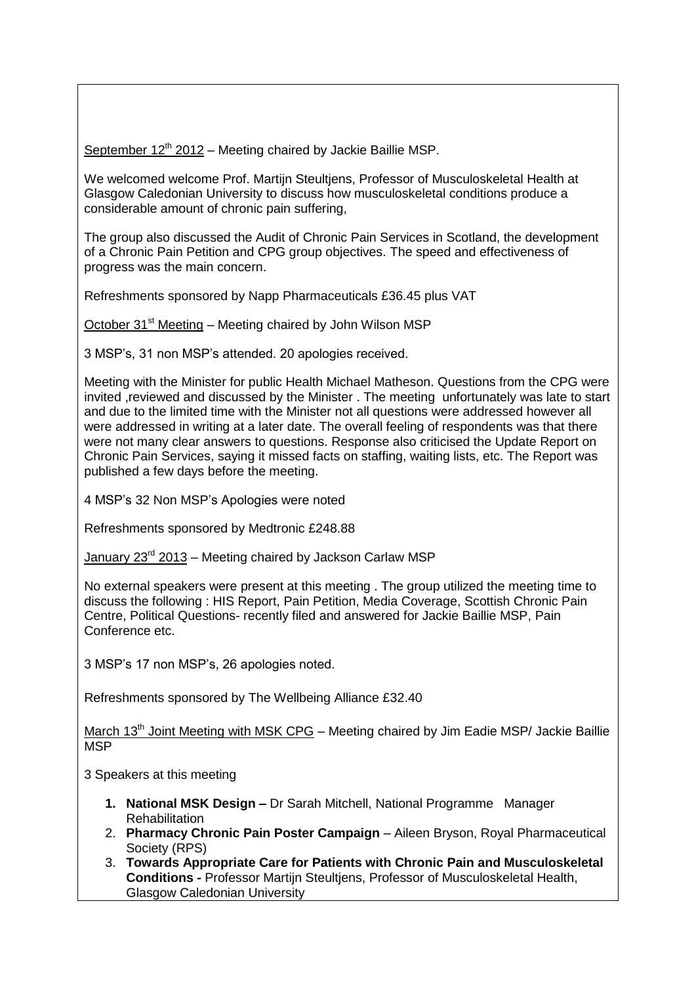September  $12<sup>th</sup> 2012$  – Meeting chaired by Jackie Baillie MSP.

We welcomed welcome Prof. Martijn Steultjens, Professor of Musculoskeletal Health at Glasgow Caledonian University to discuss how musculoskeletal conditions produce a considerable amount of chronic pain suffering,

The group also discussed the Audit of Chronic Pain Services in Scotland, the development of a Chronic Pain Petition and CPG group objectives. The speed and effectiveness of progress was the main concern.

Refreshments sponsored by Napp Pharmaceuticals £36.45 plus VAT

October 31<sup>st</sup> Meeting – Meeting chaired by John Wilson MSP

3 MSP's, 31 non MSP's attended. 20 apologies received.

Meeting with the Minister for public Health Michael Matheson. Questions from the CPG were invited ,reviewed and discussed by the Minister . The meeting unfortunately was late to start and due to the limited time with the Minister not all questions were addressed however all were addressed in writing at a later date. The overall feeling of respondents was that there were not many clear answers to questions. Response also criticised the Update Report on Chronic Pain Services, saying it missed facts on staffing, waiting lists, etc. The Report was published a few days before the meeting.

4 MSP's 32 Non MSP's Apologies were noted

Refreshments sponsored by Medtronic £248.88

January 23rd 2013 – Meeting chaired by Jackson Carlaw MSP

No external speakers were present at this meeting . The group utilized the meeting time to discuss the following : HIS Report, Pain Petition, Media Coverage, Scottish Chronic Pain Centre, Political Questions- recently filed and answered for Jackie Baillie MSP, Pain Conference etc.

3 MSP's 17 non MSP's, 26 apologies noted.

Refreshments sponsored by The Wellbeing Alliance £32.40

March  $13<sup>th</sup>$  Joint Meeting with MSK CPG – Meeting chaired by Jim Eadie MSP/ Jackie Baillie MSP

3 Speakers at this meeting

- **1. National MSK Design –** Dr Sarah Mitchell, National Programme Manager Rehabilitation
- 2. **Pharmacy Chronic Pain Poster Campaign**  Aileen Bryson, Royal Pharmaceutical Society (RPS)
- 3. **Towards Appropriate Care for Patients with Chronic Pain and Musculoskeletal Conditions -** Professor Martijn Steultjens, Professor of Musculoskeletal Health, Glasgow Caledonian University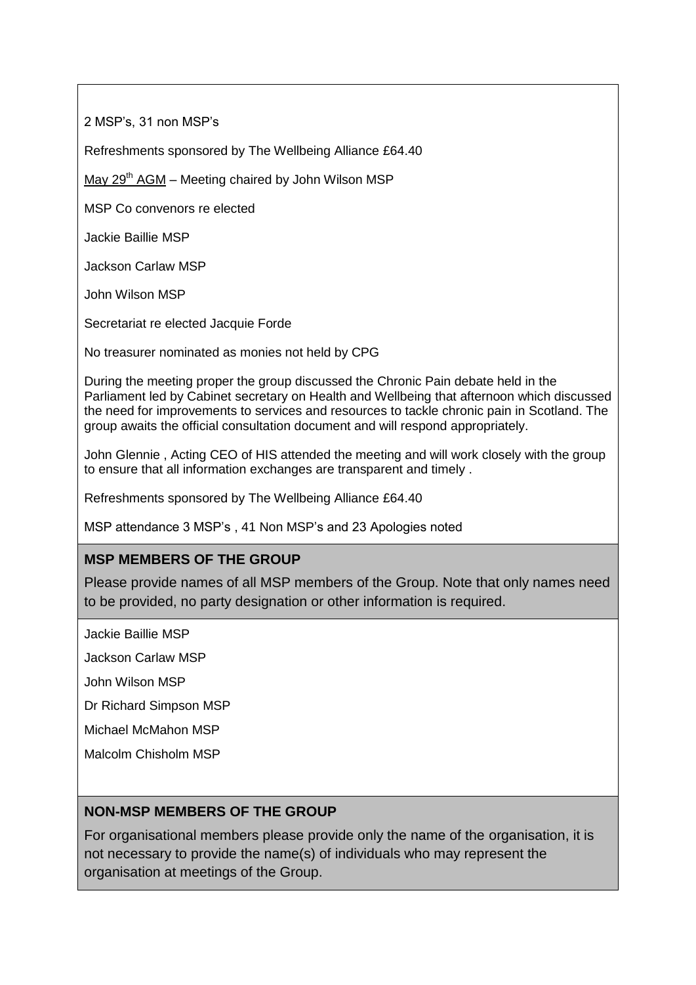2 MSP's, 31 non MSP's

Refreshments sponsored by The Wellbeing Alliance £64.40

May  $29<sup>th</sup> AGM - Meeting chaired by John Wilson MSP$ 

MSP Co convenors re elected

Jackie Baillie MSP

Jackson Carlaw MSP

John Wilson MSP

Secretariat re elected Jacquie Forde

No treasurer nominated as monies not held by CPG

During the meeting proper the group discussed the Chronic Pain debate held in the Parliament led by Cabinet secretary on Health and Wellbeing that afternoon which discussed the need for improvements to services and resources to tackle chronic pain in Scotland. The group awaits the official consultation document and will respond appropriately.

John Glennie , Acting CEO of HIS attended the meeting and will work closely with the group to ensure that all information exchanges are transparent and timely .

Refreshments sponsored by The Wellbeing Alliance £64.40

MSP attendance 3 MSP's , 41 Non MSP's and 23 Apologies noted

## **MSP MEMBERS OF THE GROUP**

Please provide names of all MSP members of the Group. Note that only names need to be provided, no party designation or other information is required.

Jackie Baillie MSP

Jackson Carlaw MSP

John Wilson MSP

Dr Richard Simpson MSP

Michael McMahon MSP

Malcolm Chisholm MSP

## **NON-MSP MEMBERS OF THE GROUP**

For organisational members please provide only the name of the organisation, it is not necessary to provide the name(s) of individuals who may represent the organisation at meetings of the Group.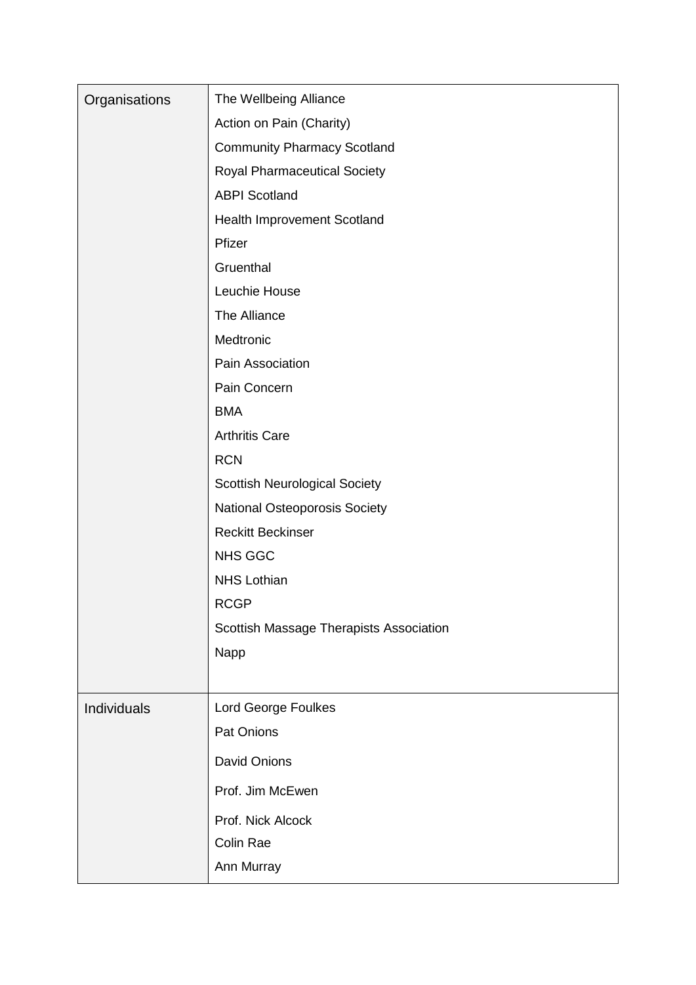| Organisations | The Wellbeing Alliance                  |
|---------------|-----------------------------------------|
|               | Action on Pain (Charity)                |
|               | <b>Community Pharmacy Scotland</b>      |
|               | <b>Royal Pharmaceutical Society</b>     |
|               | <b>ABPI Scotland</b>                    |
|               | Health Improvement Scotland             |
|               | Pfizer                                  |
|               | Gruenthal                               |
|               | Leuchie House                           |
|               | The Alliance                            |
|               | Medtronic                               |
|               | Pain Association                        |
|               | Pain Concern                            |
|               | <b>BMA</b>                              |
|               | <b>Arthritis Care</b>                   |
|               | <b>RCN</b>                              |
|               | <b>Scottish Neurological Society</b>    |
|               | National Osteoporosis Society           |
|               | <b>Reckitt Beckinser</b>                |
|               | <b>NHS GGC</b>                          |
|               | <b>NHS Lothian</b>                      |
|               | <b>RCGP</b>                             |
|               | Scottish Massage Therapists Association |
|               | Napp                                    |
|               |                                         |
| Individuals   | Lord George Foulkes                     |
|               | Pat Onions                              |
|               | <b>David Onions</b>                     |
|               | Prof. Jim McEwen                        |
|               | Prof. Nick Alcock                       |
|               | Colin Rae                               |
|               | Ann Murray                              |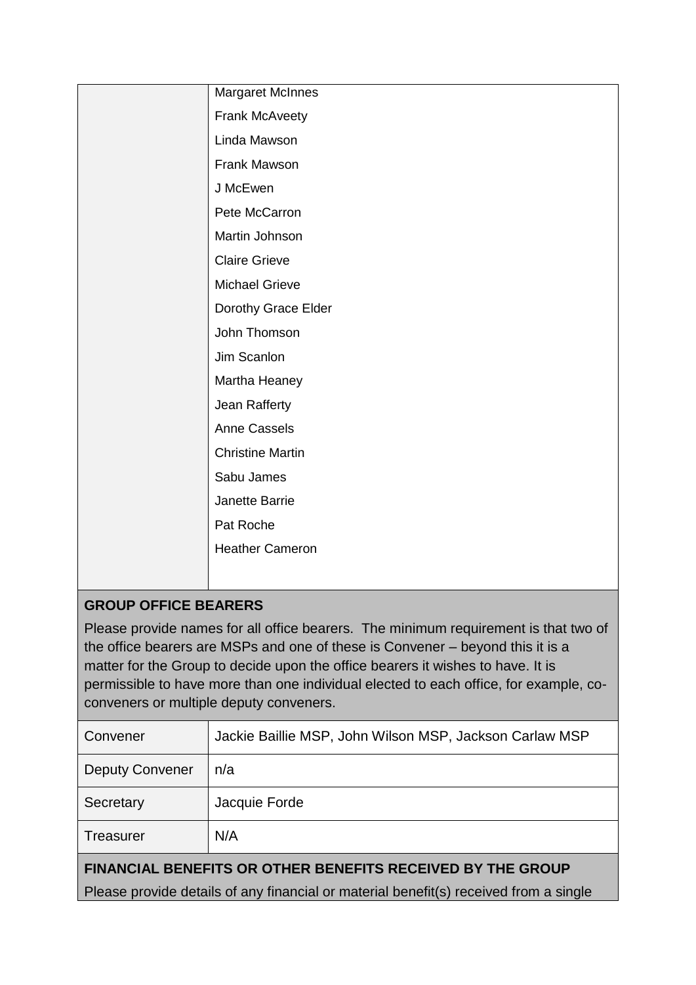|                             | <b>Margaret McInnes</b> |  |
|-----------------------------|-------------------------|--|
|                             | <b>Frank McAveety</b>   |  |
|                             | Linda Mawson            |  |
|                             | Frank Mawson            |  |
|                             | J McEwen                |  |
|                             | Pete McCarron           |  |
|                             | Martin Johnson          |  |
|                             | <b>Claire Grieve</b>    |  |
|                             | <b>Michael Grieve</b>   |  |
|                             | Dorothy Grace Elder     |  |
|                             | John Thomson            |  |
|                             | Jim Scanlon             |  |
|                             | Martha Heaney           |  |
|                             | Jean Rafferty           |  |
|                             | <b>Anne Cassels</b>     |  |
|                             | <b>Christine Martin</b> |  |
|                             | Sabu James              |  |
|                             | Janette Barrie          |  |
|                             | Pat Roche               |  |
|                             | <b>Heather Cameron</b>  |  |
|                             |                         |  |
| <b>GROUP OFFICE BEARERS</b> |                         |  |

Please provide names for all office bearers. The minimum requirement is that two of the office bearers are MSPs and one of these is Convener – beyond this it is a matter for the Group to decide upon the office bearers it wishes to have. It is permissible to have more than one individual elected to each office, for example, coconveners or multiple deputy conveners.

| Convener                                                                              | Jackie Baillie MSP, John Wilson MSP, Jackson Carlaw MSP |  |
|---------------------------------------------------------------------------------------|---------------------------------------------------------|--|
| <b>Deputy Convener</b>                                                                | n/a                                                     |  |
| Secretary                                                                             | Jacquie Forde                                           |  |
| <b>Treasurer</b>                                                                      | N/A                                                     |  |
| <b>FINANCIAL BENEFITS OR OTHER BENEFITS RECEIVED BY THE GROUP</b>                     |                                                         |  |
| Please provide details of any financial or material benefit(s) received from a single |                                                         |  |